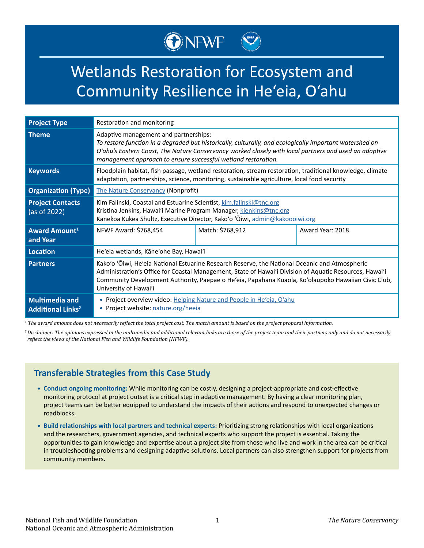# ONEWF

# Wetlands Restoration for Ecosystem and Community Resilience in He'eia, O'ahu

| <b>Project Type</b>                                          | Restoration and monitoring                                                                                                                                                                                                                                                                                                                |                  |                  |
|--------------------------------------------------------------|-------------------------------------------------------------------------------------------------------------------------------------------------------------------------------------------------------------------------------------------------------------------------------------------------------------------------------------------|------------------|------------------|
| <b>Theme</b>                                                 | Adaptive management and partnerships:<br>To restore function in a degraded but historically, culturally, and ecologically important watershed on<br>O'ahu's Eastern Coast, The Nature Conservancy worked closely with local partners and used an adaptive<br>management approach to ensure successful wetland restoration.                |                  |                  |
| <b>Keywords</b>                                              | Floodplain habitat, fish passage, wetland restoration, stream restoration, traditional knowledge, climate<br>adaptation, partnerships, science, monitoring, sustainable agriculture, local food security                                                                                                                                  |                  |                  |
| <b>Organization (Type)</b>                                   | <b>The Nature Conservancy (Nonprofit)</b>                                                                                                                                                                                                                                                                                                 |                  |                  |
| <b>Project Contacts</b><br>(as of 2022)                      | Kim Falinski, Coastal and Estuarine Scientist, kim.falinski@tnc.org<br>Kristina Jenkins, Hawai'i Marine Program Manager, kjenkins@tnc.org<br>Kanekoa Kukea Shultz, Executive Director, Kako'o 'Ōiwi, admin@kakoooiwi.org                                                                                                                  |                  |                  |
| Award Amount <sup>1</sup><br>and Year                        | NFWF Award: \$768,454                                                                                                                                                                                                                                                                                                                     | Match: \$768,912 | Award Year: 2018 |
| <b>Location</b>                                              | He'eia wetlands, Kāne'ohe Bay, Hawai'i                                                                                                                                                                                                                                                                                                    |                  |                  |
| <b>Partners</b>                                              | Kako'o 'Ōiwi, He'eia National Estuarine Research Reserve, the National Oceanic and Atmospheric<br>Administration's Office for Coastal Management, State of Hawai'i Division of Aquatic Resources, Hawai'i<br>Community Development Authority, Paepae o He'eia, Papahana Kuaola, Ko'olaupoko Hawaiian Civic Club,<br>University of Hawai'i |                  |                  |
| <b>Multimedia and</b><br><b>Additional Links<sup>2</sup></b> | • Project overview video: Helping Nature and People in He'eia, O'ahu<br>• Project website: nature.org/heeia                                                                                                                                                                                                                               |                  |                  |

*1 The award amount does not necessarily reflect the total project cost. The match amount is based on the project proposal information.*

*<sup>2</sup>Disclaimer: The opinions expressed in the multimedia and additional relevant links are those of the project team and their partners only and do not necessarily reflect the views of the National Fish and Wildlife Foundation (NFWF).*

## **Transferable Strategies from this Case Study**

- **• Conduct ongoing monitoring:** While monitoring can be costly, designing a project-appropriate and cost-effective monitoring protocol at project outset is a critical step in adaptive management. By having a clear monitoring plan, project teams can be better equipped to understand the impacts of their actions and respond to unexpected changes or roadblocks.
- **• Build relationships with local partners and technical experts:** Prioritizing strong relationships with local organizations and the researchers, government agencies, and technical experts who support the project is essential. Taking the opportunities to gain knowledge and expertise about a project site from those who live and work in the area can be critical in troubleshooting problems and designing adaptive solutions. Local partners can also strengthen support for projects from community members.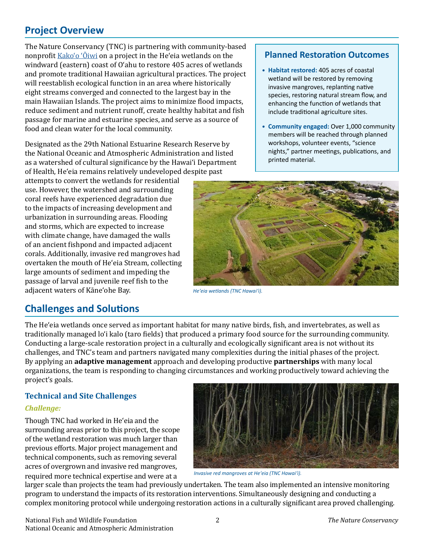# **Project Overview**

The Nature Conservancy (TNC) is partnering with community-based nonprofit [Kako'o 'Ōiwi](https://kakoooiwi.org/) on a project in the He'eia wetlands on the windward (eastern) coast of O'ahu to restore 405 acres of wetlands and promote traditional Hawaiian agricultural practices. The project will reestablish ecological function in an area where historically eight streams converged and connected to the largest bay in the main Hawaiian Islands. The project aims to minimize flood impacts, reduce sediment and nutrient runoff, create healthy habitat and fish passage for marine and estuarine species, and serve as a source of food and clean water for the local community.

Designated as the 29th National Estuarine Research Reserve by the National Oceanic and Atmospheric Administration and listed as a watershed of cultural significance by the Hawai'i Department of Health, He'eia remains relatively undeveloped despite past

attempts to convert the wetlands for residential use. However, the watershed and surrounding coral reefs have experienced degradation due to the impacts of increasing development and urbanization in surrounding areas. Flooding and storms, which are expected to increase with climate change, have damaged the walls of an ancient fishpond and impacted adjacent corals. Additionally, invasive red mangroves had overtaken the mouth of He'eia Stream, collecting large amounts of sediment and impeding the passage of larval and juvenile reef fish to the

### **Planned Restoration Outcomes**

- **• Habitat restored:** 405 acres of coastal wetland will be restored by removing invasive mangroves, replanting native species, restoring natural stream flow, and enhancing the function of wetlands that include traditional agriculture sites.
- **• Community engaged:** Over 1,000 community members will be reached through planned workshops, volunteer events, "science nights," partner meetings, publications, and printed material.



*He'eia wetlands (TNC Hawai'i).* 

# **Challenges and Solutions**

adjacent waters of Kāne'ohe Bay.

The He'eia wetlands once served as important habitat for many native birds, fish, and invertebrates, as well as traditionally managed lo'i kalo (taro fields) that produced a primary food source for the surrounding community. Conducting a large-scale restoration project in a culturally and ecologically significant area is not without its challenges, and TNC's team and partners navigated many complexities during the initial phases of the project. By applying an **adaptive management** approach and developing productive **partnerships** with many local organizations, the team is responding to changing circumstances and working productively toward achieving the project's goals.

## **Technical and Site Challenges**

## *Challenge:*

Though TNC had worked in He'eia and the surrounding areas prior to this project, the scope of the wetland restoration was much larger than previous efforts. Major project management and technical components, such as removing several acres of overgrown and invasive red mangroves, required more technical expertise and were at a *Invasive red mangroves at He'eia (TNC Hawai'i).*



larger scale than projects the team had previously undertaken. The team also implemented an intensive monitoring program to understand the impacts of its restoration interventions. Simultaneously designing and conducting a complex monitoring protocol while undergoing restoration actions in a culturally significant area proved challenging.